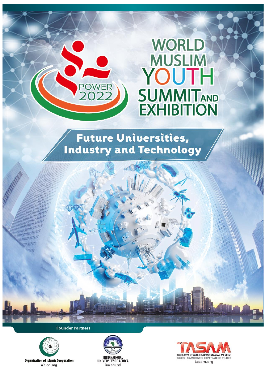# **WORLD MUSLIM** YOUTH **SUMMITAND EXHIBITION**

# **Future Universities, Industry and Technology**

**POWER**<br>2022

**Founder Partners** 





**Organisation of Islamic Cooperation** oic-oci.org

 $\sqrt{n}$ um unni urri **ANNI ITALI**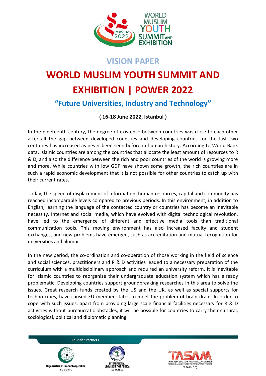

### **VISION PAPER**

# **WORLD MUSLIM YOUTH SUMMIT AND EXHIBITION | POWER 2022 "Future Universities, Industry and Technology"**

### **( 16-18 June 2022, Istanbul )**

In the nineteenth century, the degree of existence between countries was close to each other after all the gap between developed countries and developing countries for the last two centuries has increased as never been seen before in human history. According to World Bank data, Islamic countries are among the countries that allocate the least amount of resources to R & D, and also the difference between the rich and poor countries of the world is growing more and more. While countries with low GDP have shown some growth, the rich countries are in such a rapid economic development that it is not possible for other countries to catch up with their current rates.

Today, the speed of displacement of information, human resources, capital and commodity has reached incomparable levels compared to previous periods. In this environment, in addition to English, learning the language of the contacted country or countries has become an inevitable necessity. Internet and social media, which have evolved with digital technological revolution, have led to the emergence of different and effective media tools than traditional communication tools. This moving environment has also increased faculty and student exchanges, and new problems have emerged, such as accreditation and mutual recognition for universities and alumni.

In the new period, the co-ordination and co-operation of those working in the field of science and social sciences, practitioners and R & D activities leaded to a necessary preparation of the curriculum with a multidisciplinary approach and required an university reform. It is inevitable for Islamic countries to reorganize their undergraduate education system which has already problematic. Developing countries support groundbreaking researches in this area to solve the issues. Great research funds created by the US and the UK, as well as special supports for techno-cities, have caused EU member states to meet the problem of brain drain. In order to cope with such issues, apart from providing large scale financial facilities necessary for R & D activities without bureaucratic obstacles, it will be possible for countries to carry their cultural, sociological, political and diplomatic planning.





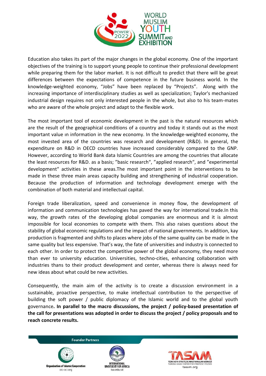

Education also takes its part of the major changes in the global economy. One of the important objectives of the training is to support young people to continue their professional development while preparing them for the labor market. It is not difficult to predict that there will be great differences between the expectations of competence in the future business world. In the knowledge-weighted economy, "Jobs" have been replaced by "Projects". Along with the increasing importance of interdisciplinary studies as well as specialization; Taylor's mechanized industrial design requires not only interested people in the whole, but also to his team-mates who are aware of the whole project and adapt to the flexible work.

The most important tool of economic development in the past is the natural resources which are the result of the geographical conditions of a country and today it stands out as the most important value ın information in the new economy. In the knowledge-weighted economy, the most invested area of the countries was research and development (R&D). In general, the expenditure on R&D in OECD countries have increased considerably compared to the GNP. However, according to World Bank data Islamic Countries are among the countries that allocate the least resources for R&D. as a basis; "basic research", "applied research", and "experimental development" activities in these areas.The most important point in the interventions to be made in these three main areas capacity building and strengthening of industrial cooperation. Because the production of information and technology development emerge with the combination of both material and intellectual capital.

Foreign trade liberalization, speed and convenience in money flow, the development of information and communication technologies has paved the way for international trade.In this way, the growth rates of the developing global companies are enormous and it is almost impossible for local economies to compete with them. This also raises questions about the stability of global economic regulations and the impact of national governments. In addition, kay production is fragmented and shifts to places where jobs of the same quality can be made in the same quality but less expensive. That's way, the fate of universities and industry is connected to each other. In order to protect the competitive power of the global economy, they need more than ever to university education. Universities, techno-cities, enhancing collaboration with industries thans to their product development and center, whereas there is always need for new ideas about what could be new activities.

Consequently, the main aim of the activity is to create a discussion environment in a sustainable, proactive perspective, to make intellectual contribution to the perspective of building the soft power / public diplomacy of the Islamic world and to the global youth governance**. In parallel to the macro discussions, the project / policy-based presentation of the call for presentations was adopted in order to discuss the project / policy proposals and to reach concrete results.**





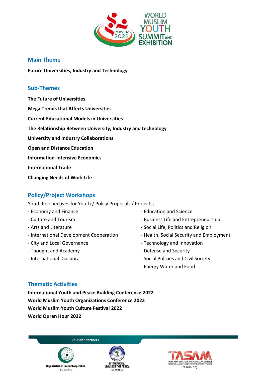

#### **Main Theme**

**Future Universities, Industry and Technology** 

#### **Sub-Themes**

**The Future of Universities Mega Trends that Affects Universities Current Educational Models in Universities The Relationship Between University, Industry and technology University and Industry Collaborations Open and Distance Education Information-Intensive Economics International Trade Changing Needs of Work Life**

#### **Policy/Project Workshops**

Youth Perspectives for Youth / Policy Proposals / Projects;

- Economy and Finance
- Culture and Tourism
- Arts and Literature
- International Development Cooperation
- City and Local Governance
- Thought and Academy
- International Diaspora
- Education and Science
- Business Life and Entrepreneurship
- Social Life, Politics and Religion
- Health, Social Security and Employment
- Technology and Innovation
- Defense and Security
- Social Policies and Civil Society
- Energy Water and Food

#### **Thematic Activities**

**International Youth and Peace Building Conference 2022 World Muslim Youth Organizations Conference 2022 World Muslim Youth Culture Festival 2022 World Quran Hour 2022**